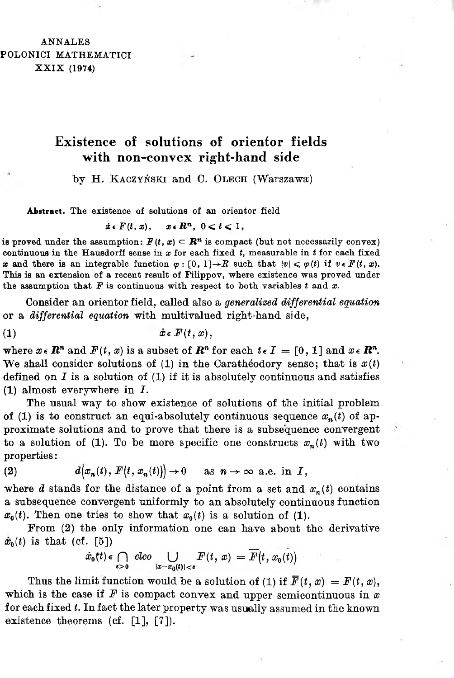## ANNALES POLONICI MATHEMATICI XXIX (1974)

## **Existence of solutions of orientor fields with non-convex right-hand side**

by H. KACZYŃSKI and C. OLECH (Warszawa)

Abstract. The existence of solutions of an orientor field

 $\dot{x} \in F(t, x), \quad x \in \mathbb{R}^n, \ 0 \leq t \leq 1,$ 

is proved under the assumption:  $F(t, x) \subset \mathbb{R}^n$  is compact (but not necessarily convex) continuous in the Hausdorff sense in  $x$  for each fixed  $t$ , measurable in  $t$  for each fixed *x* and there is an integrable function  $\varphi : [0, 1] \rightarrow \mathbb{R}$  such that  $|\psi| \leq \varphi(t)$  if  $v \in F(t, x)$ . This is an extension of a recent result of Filippov, where existence was proved under the assumption that  $F$  is continuous with respect to both variables  $t$  and  $x$ .

Consider an orientor field, called also a generalized differential equation or a *differential equation* with multivalued right-hand side,

$$
(1) \t\t \dot{x} \in F(t,x),
$$

where  $x \in \mathbb{R}^n$  and  $F(t, x)$  is a subset of  $\mathbb{R}^n$  for each  $t \in I = [0, 1]$  and  $x \in \mathbb{R}^n$ . We shall consider solutions of (1) in the Carathéodory sense; that is  $x(t)$ defined on  $I$  is a solution of  $(I)$  if it is absolutely continuous and satisfies (1) almost everywhere in *I*.

The usual way to show existence of solutions of the initial problem of (1) is to construct an equi-absolutely continuous sequence  $x_n(t)$  of approximate solutions and to prove that there is a subsequence convergent to a solution of (1). To be more specific one constructs  $x_n(t)$  with two properties:

(2) 
$$
d\big(x_n(t), F(t, x_n(t))\big) \to 0 \quad \text{as } n \to \infty \text{ a.e. in } I,
$$

where d stands for the distance of a point from a set and  $x_n(t)$  contains a subsequence convergent uniformly to an absolutely continuous function  $x_0(t)$ . Then one tries to show that  $x_0(t)$  is a solution of (1).

From (2) the only information one can have about the derivative  $\dot{x}_0(t)$  is that (cf. [5])

$$
\dot{x}_0(t) \in \bigcap_{s>0} \text{ clco } \bigcup_{|x-x_0(t)|
$$

Thus the limit function would be a solution of (1) if  $\overline{F}(t, x) = F(t, x)$ , which is the case if  $F$  is compact convex and upper semicontinuous in  $x$ for each fixed *t*. In fact the later property was usually assumed in the known existence theorems (cf. [\[1\]](#page-5-0), [\[7\]](#page-5-1)).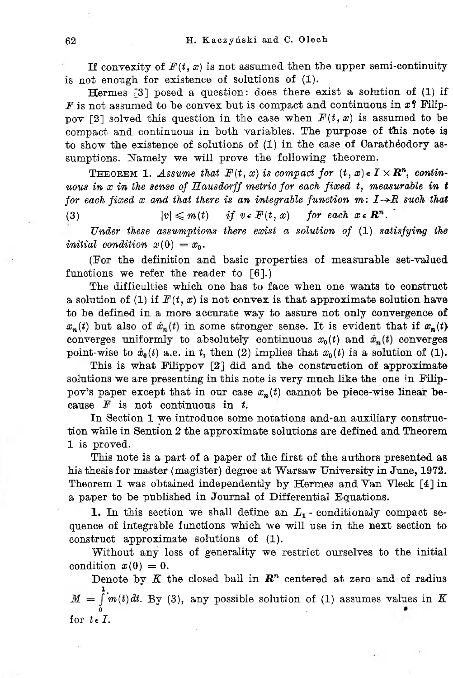If convexity of  $F(t, x)$  is not assumed then the upper semi-continuity is not enough for existence of solutions of (1).

Hermes  $[3]$  posed a question: does there exist a solution of (1) if  $F$  is not assumed to be convex but is compact and continuous in  $x$ ? Filippov [2] solved this question in the case when  $F(t, x)$  is assumed to be compact and continuous in both variables. The purpose of this note is to show the existence of solutions of (1) in the case of Carathéodory assumptions. Namely we will prove the following theorem.

**THEOREM 1.** Assume that  $F(t, x)$  is compact for  $(t, x) \in I \times \mathbb{R}^n$ , contin*uous in x in the sense of Hausdorff metric for each fixed t, measurable in t for* each *fixed*  $x$  *and that there is an integrable function*  $m: I \rightarrow R$  *such that* (3)  $|v| \leq m(t)$  if  $v \in F(t, x)$  for each  $x \in \mathbb{R}^n$ .

Under these assumptions there exist a solution of  $(1)$  satisfying the initial condition  $x(0) = x_0$ .

(For the definition and basic properties of measurable set-valued functions we refer the reader to [\[6\].](#page-5-2))

The difficulties which one has to face when one wants to construct a solution of (1) if  $F(t, x)$  is not convex is that approximate solution have to be defined in a more accurate way to assure not only convergence of  $x_n(t)$  but also of  $\dot{x}_n(t)$  in some stronger sense. It is evident that if  $x_n(t)$ point-wise to  $\dot{x}_0(t)$  a.e. in t, then (2) implies that  $x_0(t)$  is a solution of (1). converges uniformly to absolutely continuous  $x_0(t)$  and  $\dot{x}_n(t)$  converges

This is what Filippov [\[2\]](#page-5-3) did and the construction of approximate solutions we are presenting in this note is very much like the one in Filippov's paper except that in our case  $x_n(t)$  cannot be piece-wise linear because F is not continuous in *t*.

In Section 1 we introduce some notations and-an auxiliary construction while in Sention 2 the approximate solutions are defined and Theorem 1 is proved.

This note is a part of a paper of the first of the authors presented as his thesis for master (magister) degree at Warsaw University in June, 1972. Theorem 1 was obtained independently by Hermes and Van Vleck [\[4\]](#page-5-4) in a paper to be published in Journal of Differential Equations.

1. In this section we shall define an  $L_1$  - conditionaly compact sequence of integrable functions which we will use in the next section to construct approximate solutions of (1).

Without any loss of generality we restrict ourselves to the initial condition  $x(0) = 0$ .

for  $t \in I$ . Denote by  $K$  the closed ball in  $\mathbb{R}^n$  centered at zero and of radius  $M = \int_{0}^{1} m(t) dt$ . By (3), any possible solution of (1) assumes values in *K*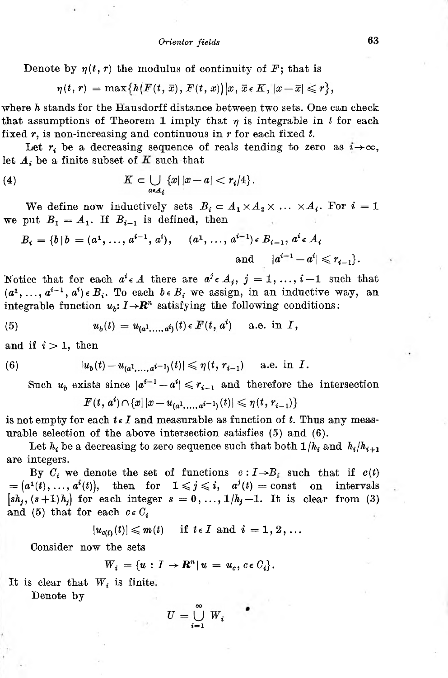Denote by  $\eta(t, r)$  the modulus of continuity of  $F$ ; that is

$$
\eta(t,r)=\max\{h(F(t,\,\overline{x}),\,F(t,\,x))\big|x,\,\overline{x}\,\epsilon\,K,\,|x-\overline{x}|\leqslant r\},
$$

where *h* stands for the Hausdorff distance between two sets. One can check that assumptions of Theorem 1 imply that  $\eta$  is integrable in *t* for each fixed *r*, is non-increasing and continuous in *r* for each fixed *t.*

Let  $r_i$  be a decreasing sequence of reals tending to zero as  $i \rightarrow \infty$ , let  $A_i$  be a finite subset of  $K$  such that

(4) 
$$
K \subset \bigcup_{a \in A_i} \{x \mid |x-a| < r_i/4\}.
$$

We define now inductively sets  $B_i \subset A_1 \times A_2 \times \ldots \times A_i$ . For  $i = 1$ we put  $B_1 = A_1$ . If  $B_{i-1}$  is defined, then

$$
B_i = \{b \mid b = (a^1, \ldots, a^{i-1}, a^i), \quad (a^1, \ldots, a^{i-1}) \in B_{i-1}, a^i \in A_i
$$
  
and  $|a^{i-1} - a^i| \leq r_{i-1}\}.$ 

Notice that for each  $a^i \in A$  there are  $a^j \in A_j$ ,  $j = 1, ..., i-1$  such that  $(a^1, \ldots, a^{i-1}, a^i) \in B_i$ . To each  $b \in B_i$  we assign, in an inductive way, an integrable function  $u_b: I \rightarrow \mathbb{R}^n$  satisfying the following conditions:

(5) 
$$
u_b(t) = u_{(a^1,...,a^i)}(t) \in F(t, a^i) \quad \text{a.e. in } I,
$$

and if  $i > 1$ , then

(6) 
$$
|u_b(t) - u_{(a^1,...,a^{i-1})}(t)| \leq \eta(t, r_{i-1})
$$
 a.e. in *I*.

Such  $u_b$  exists since  $|a^{i-1} - a^i| \leq r_{i-1}$  and therefore the intersection

$$
F(t, a^i) \cap \{x | |x - u_{(a^1, \ldots, a^{i-1})}(t)| \leqslant \eta(t, r_{i-1})\}
$$

is not empty for each  $t \in I$  and measurable as function of  $t$ . Thus any measurable selection of the above intersection satisfies (5) and (6).

Let  $h_i$  be a decreasing to zero sequence such that both  $1/h_i$  and  $h_i/h_{i+1}$ are integers.

By  $C_i$  we denote the set of functions  $c : I \rightarrow B_i$  such that if  $c(t)$ <br> $a^1(t), \ldots, a^i(t)$ , then for  $1 \leq j \leq i$ ,  $a^j(t) = \text{const}$  on intervals  $\mathbf{z} = (a^1(t), \ldots, a^i(t)), \quad \text{then} \quad \text{for} \quad 1 \leqslant j \leqslant i, \quad a^j(t) = \text{const}$  $[sh_i, (s+1)h_i]$  for each integer  $s = 0, ..., 1/h_i - 1$ . It is clear from (3) and (5) that for each  $c \in C_i$ 

$$
|u_{c(t)}(t)| \leqslant m(t) \quad \text{if } t \in I \text{ and } i = 1, 2, ...
$$

Consider now the sets

$$
W_i = \{u : I \to \mathbf{R}^n | u = u_c, c \in C_i\}.
$$

It is clear that  $W_i$  is finite.

Denote by

$$
U = \bigcup_{i=1}^{\infty} W_i
$$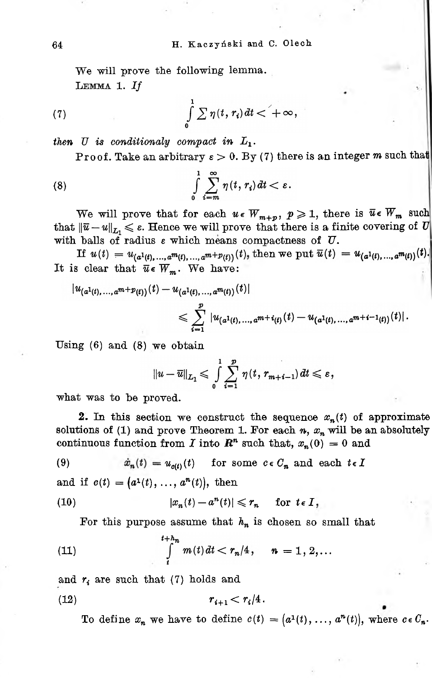We will prove the following lemma. Lemma 1. *If*

(7) 
$$
\int\limits_{0}^{1} \sum \eta(t, r_i) dt < +\infty,
$$

then U is conditionaly compact in  $L_1$ .

Proof. Take an arbitrary  $\varepsilon > 0$ . By (7) there is an integer m such that

(8) 
$$
\int\limits_{0}^{1}\sum\limits_{i=m}^{\infty}\eta(t,r_{i})dt<\varepsilon.
$$

with balls of radius  $\varepsilon$  which means compactness of  $U$ . that  $\|\bar{u}-u\|_{L_1} \leqslant \varepsilon$ . Hence we will prove that there is a finite covering of  $U$ We will prove that for each  $u \in W_{m+p}$ ,  $p \geq 1$ , there is  $\overline{u} \in W_m$  such

If  $u(t) = u_{(a^1(t),...,a^m(t),...,a^{m+p}(t))}(t)$ , then we put It is clear that  $\overline{u} \in W_m$ . We have:

$$
|u_{(a^1(t),...,a^{m+p}(t))}(t)-u_{(a^1(t),...,a^{m}(t))}(t)|
$$
  

$$
\leq \sum_{i=1}^p |u_{(a^1(t),...,a^{m+i}(t))}(t)-u_{(a^1(t),...,a^{m+i-1}(t))}(t)|.
$$

Using (6) and (8) we obtain

$$
||u-\overline{u}||_{L_1}\leqslant \int\limits_{0}^{1}\sum\limits_{i=1}^{p}\eta(t,\,r_{m+i-1})\,dt\leqslant \varepsilon,
$$

what was to be proved.

2. In this section we construct the sequence  $x_n(t)$  of approximate solutions of (1) and prove Theorem 1. For each  $n$ ,  $x_n$  will be an absolutely continuous function from *I* into  $\mathbb{R}^n$  such that,  $x_n(0) = 0$  and

 $u_n(t) = u_{c(t)}(t)$  for some  $c \in C_n$  and each  $t \in I$ (9)

and if  $c(t) = (a^1(t), ..., a^n(t)),$  then

(10) 
$$
|x_n(t) - a^n(t)| \leq r_n \quad \text{for } t \in I,
$$

For this purpose assume that  $h_n$  is chosen so small that

(11) 
$$
\int_{t}^{t+h_n} m(t) dt < r_n/4, \quad n = 1, 2,...
$$

and  $r_i$  are such that (7) holds and

(12) 
$$
r_{i+1} < r_i/4.
$$

To define  $x_n$  we have to define  $c(t) = (a^1(t), \ldots, a^n(t))$ , where  $c \in C_n$ .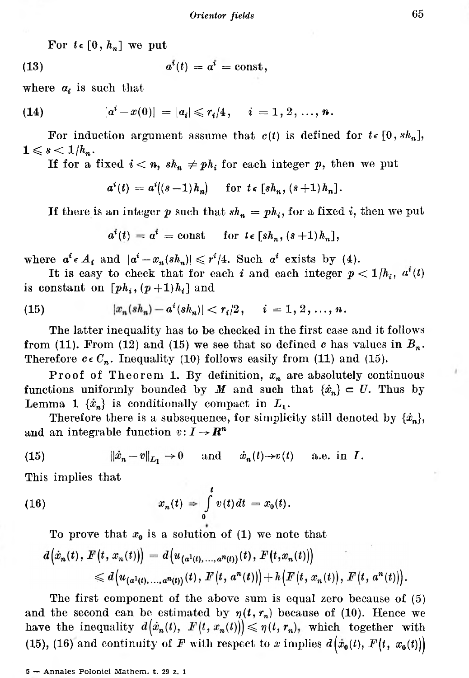For  $t \in [0, h_n]$  we put

$$
a^i(t) = a^i = \text{const},
$$

where  $\alpha_i$  is such that

(14) 
$$
|a^{i}-x(0)| = |a_{i}| \leqslant r_{i}/4, \quad i = 1, 2, ..., n.
$$

For induction argument assume that  $c(t)$  is defined for  $t \in [0, sk_n]$ ,  $1\leqslant s< 1/h_n$ .

If for a fixed  $i < n$ ,  $sh_n \neq ph_i$  for each integer *p*, then we put

$$
a^{i}(t) = a^{i}((s-1)h_{n}) \quad \text{for } t \in [sh_{n}, (s+1)h_{n}].
$$

If there is an integer  $p$  such that  $sh_n = ph_i$ , for a fixed *i*, then we put

$$
a^{t}(t) = a^{t} = \text{const} \quad \text{for } t \in [sh_n, (s+1)h_n],
$$

where  $a^i \in A_i$  and  $|a^i - x_n(sh_n)| \leqslant r^i/4$ . Such  $a^i$  exists by (4).

It is easy to check that for each *i* and each integer  $p < 1/h_i$ ,  $a^i(t)$ is constant on  $[ph_i, (p+1)h_i]$  and

(15) 
$$
|x_n(sh_n) - a^i(sh_n)| < r_i/2, \quad i = 1, 2, \ldots, n.
$$

The latter inequality has to be checked in the first case and it follows from (11). From (12) and (15) we see that so defined  $c$  has values in  $B_n$ . Therefore  $c \in C_n$ . Inequality (10) follows easily from (11) and (15).

Proof of Theorem 1. By definition, *x<sup>n</sup>* are absolutely continuous functions uniformly bounded by *M* and such that  $\{\dot{x}_n\} \subset U$ . Thus by Lemma 1  $\{\dot{x}_n\}$  is conditionally compact in  $L_1$ .

Therefore there is a subsequence, for simplicity still denoted by  $\{\dot{x}_n\}$ , and an integrable function  $v: I \to \mathbb{R}^n$ 

(15) 
$$
\|\dot{x}_n - v\|_{L_1} \to 0 \quad \text{and} \quad \dot{x}_n(t) \to v(t) \quad \text{a.e. in } I.
$$

This implies that

(16) 
$$
x_n(t) \Rightarrow \int_0^t v(t) dt = x_0(t).
$$

To prove that 
$$
x_0
$$
 is a solution of (1) we note that  
\n
$$
d(\dot{x}_n(t), F(t, x_n(t))) = d(u_{(a^1(t), ..., a^n(t))}(t), F(t, x_n(t)))
$$
\n
$$
\leq d(u_{(a^1(t), ..., a^n(t))}(t), F(t, a^n(t))) + h(F(t, x_n(t)), F(t, a^n(t))).
$$

(15), (16) and continuity of *F* with respect to *x* implies  $d(x_0(t), F(t, x_0(t)))$ The first component of the above sum is equal zero because of (5) and the second can be estimated by  $\eta(t, r_n)$  because of (10). Hence we have the inequality  $d(\dot{x}_n(t), F(t, x_n(t))) \leqslant \eta(t, r_n)$ , which together with

<sup>5</sup> — Annales Polonici Mathem. t. <sup>29</sup> z. <sup>1</sup>

 $\lambda$